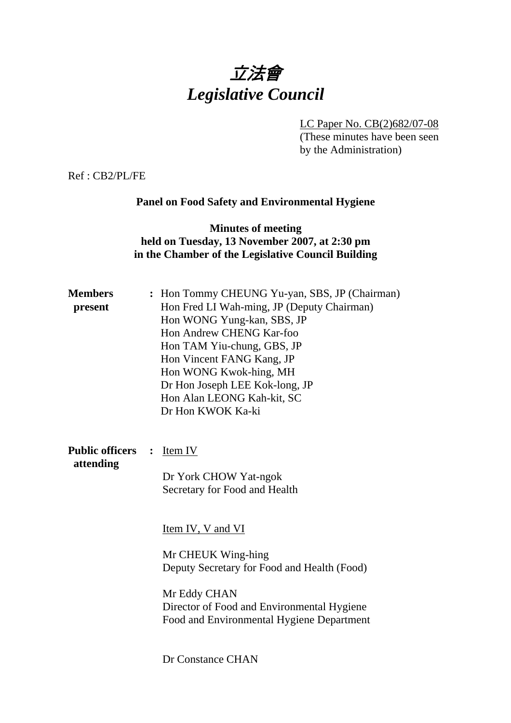# 立法會 *Legislative Council*

LC Paper No. CB(2)682/07-08 (These minutes have been seen

by the Administration)

Ref : CB2/PL/FE

## **Panel on Food Safety and Environmental Hygiene**

## **Minutes of meeting held on Tuesday, 13 November 2007, at 2:30 pm in the Chamber of the Legislative Council Building**

| <b>Members</b><br>present           | : Hon Tommy CHEUNG Yu-yan, SBS, JP (Chairman)<br>Hon Fred LI Wah-ming, JP (Deputy Chairman)<br>Hon WONG Yung-kan, SBS, JP<br>Hon Andrew CHENG Kar-foo<br>Hon TAM Yiu-chung, GBS, JP<br>Hon Vincent FANG Kang, JP<br>Hon WONG Kwok-hing, MH<br>Dr Hon Joseph LEE Kok-long, JP<br>Hon Alan LEONG Kah-kit, SC<br>Dr Hon KWOK Ka-ki |
|-------------------------------------|---------------------------------------------------------------------------------------------------------------------------------------------------------------------------------------------------------------------------------------------------------------------------------------------------------------------------------|
| <b>Public officers</b><br>attending | Item IV<br>$\ddot{\cdot}$<br>Dr York CHOW Yat-ngok<br>Secretary for Food and Health                                                                                                                                                                                                                                             |
|                                     | Item IV, V and VI<br>Mr CHEUK Wing-hing<br>Deputy Secretary for Food and Health (Food)<br>Mr Eddy CHAN<br>Director of Food and Environmental Hygiene<br>Food and Environmental Hygiene Department                                                                                                                               |
|                                     | Dr Constance CHAN                                                                                                                                                                                                                                                                                                               |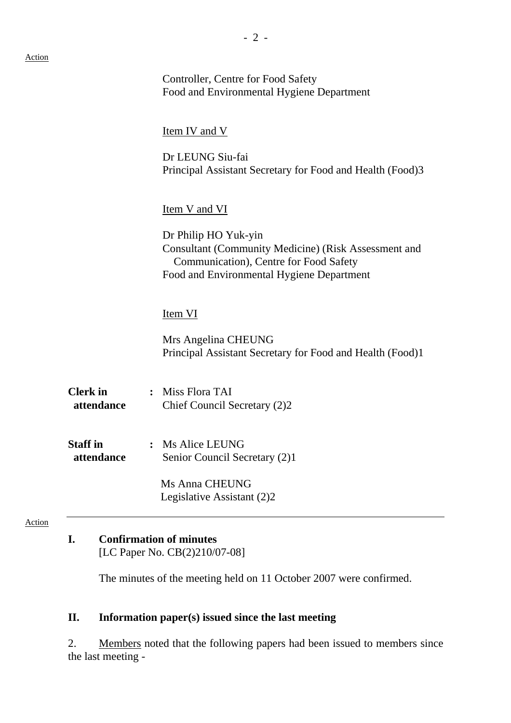|                               | Controller, Centre for Food Safety<br>Food and Environmental Hygiene Department                                                                                            |
|-------------------------------|----------------------------------------------------------------------------------------------------------------------------------------------------------------------------|
|                               | <u>Item IV and V</u>                                                                                                                                                       |
|                               | Dr LEUNG Siu-fai<br>Principal Assistant Secretary for Food and Health (Food)3                                                                                              |
|                               | <b>Item V and VI</b>                                                                                                                                                       |
|                               | Dr Philip HO Yuk-yin<br><b>Consultant (Community Medicine) (Risk Assessment and</b><br>Communication), Centre for Food Safety<br>Food and Environmental Hygiene Department |
|                               | Item VI                                                                                                                                                                    |
|                               | Mrs Angelina CHEUNG<br>Principal Assistant Secretary for Food and Health (Food)1                                                                                           |
| <b>Clerk</b> in<br>attendance | : Miss Flora TAI<br>Chief Council Secretary (2)2                                                                                                                           |
| <b>Staff in</b><br>attendance | Ms Alice LEUNG<br>Senior Council Secretary (2)1                                                                                                                            |
|                               | <b>Ms Anna CHEUNG</b><br>Legislative Assistant (2)2                                                                                                                        |

[LC Paper No. CB(2)210/07-08]

The minutes of the meeting held on 11 October 2007 were confirmed.

# **II. Information paper(s) issued since the last meeting**

2. Members noted that the following papers had been issued to members since the last meeting -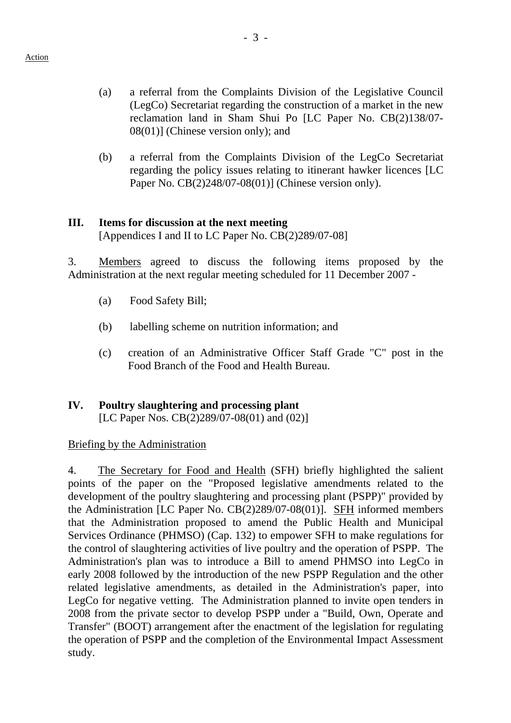- (a) a referral from the Complaints Division of the Legislative Council (LegCo) Secretariat regarding the construction of a market in the new reclamation land in Sham Shui Po [LC Paper No. CB(2)138/07- 08(01)] (Chinese version only); and
- (b) a referral from the Complaints Division of the LegCo Secretariat regarding the policy issues relating to itinerant hawker licences [LC Paper No. CB(2)248/07-08(01)] (Chinese version only).

#### **III. Items for discussion at the next meeting**

[Appendices I and II to LC Paper No. CB(2)289/07-08]

3. Members agreed to discuss the following items proposed by the Administration at the next regular meeting scheduled for 11 December 2007 -

- (a) Food Safety Bill;
- (b) labelling scheme on nutrition information; and
- (c) creation of an Administrative Officer Staff Grade "C" post in the Food Branch of the Food and Health Bureau.

#### **IV. Poultry slaughtering and processing plant**  [LC Paper Nos. CB(2)289/07-08(01) and (02)]

#### Briefing by the Administration

4. The Secretary for Food and Health (SFH) briefly highlighted the salient points of the paper on the "Proposed legislative amendments related to the development of the poultry slaughtering and processing plant (PSPP)" provided by the Administration [LC Paper No. CB(2)289/07-08(01)]. SFH informed members that the Administration proposed to amend the Public Health and Municipal Services Ordinance (PHMSO) (Cap. 132) to empower SFH to make regulations for the control of slaughtering activities of live poultry and the operation of PSPP. The Administration's plan was to introduce a Bill to amend PHMSO into LegCo in early 2008 followed by the introduction of the new PSPP Regulation and the other related legislative amendments, as detailed in the Administration's paper, into LegCo for negative vetting. The Administration planned to invite open tenders in 2008 from the private sector to develop PSPP under a "Build, Own, Operate and Transfer" (BOOT) arrangement after the enactment of the legislation for regulating the operation of PSPP and the completion of the Environmental Impact Assessment study.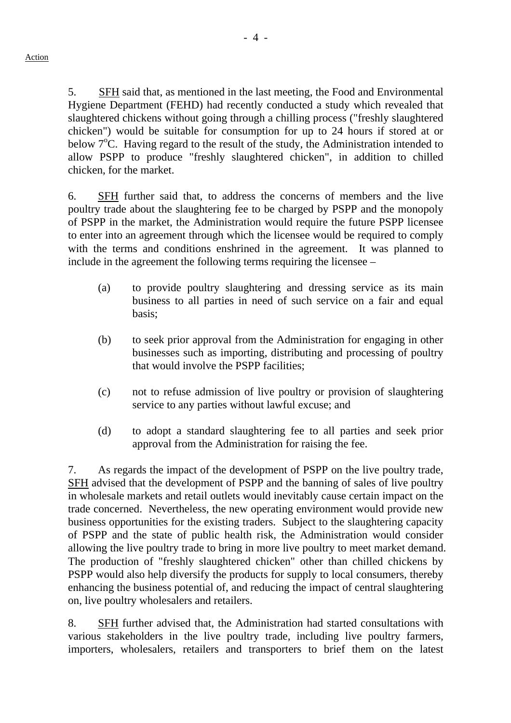5. SFH said that, as mentioned in the last meeting, the Food and Environmental Hygiene Department (FEHD) had recently conducted a study which revealed that slaughtered chickens without going through a chilling process ("freshly slaughtered chicken") would be suitable for consumption for up to 24 hours if stored at or below  $7^{\circ}$ C. Having regard to the result of the study, the Administration intended to allow PSPP to produce "freshly slaughtered chicken", in addition to chilled chicken, for the market.

6. SFH further said that, to address the concerns of members and the live poultry trade about the slaughtering fee to be charged by PSPP and the monopoly of PSPP in the market, the Administration would require the future PSPP licensee to enter into an agreement through which the licensee would be required to comply with the terms and conditions enshrined in the agreement. It was planned to include in the agreement the following terms requiring the licensee –

- (a) to provide poultry slaughtering and dressing service as its main business to all parties in need of such service on a fair and equal basis;
- (b) to seek prior approval from the Administration for engaging in other businesses such as importing, distributing and processing of poultry that would involve the PSPP facilities;
- (c) not to refuse admission of live poultry or provision of slaughtering service to any parties without lawful excuse; and
- (d) to adopt a standard slaughtering fee to all parties and seek prior approval from the Administration for raising the fee.

7. As regards the impact of the development of PSPP on the live poultry trade, SFH advised that the development of PSPP and the banning of sales of live poultry in wholesale markets and retail outlets would inevitably cause certain impact on the trade concerned. Nevertheless, the new operating environment would provide new business opportunities for the existing traders. Subject to the slaughtering capacity of PSPP and the state of public health risk, the Administration would consider allowing the live poultry trade to bring in more live poultry to meet market demand. The production of "freshly slaughtered chicken" other than chilled chickens by PSPP would also help diversify the products for supply to local consumers, thereby enhancing the business potential of, and reducing the impact of central slaughtering on, live poultry wholesalers and retailers.

8. SFH further advised that, the Administration had started consultations with various stakeholders in the live poultry trade, including live poultry farmers, importers, wholesalers, retailers and transporters to brief them on the latest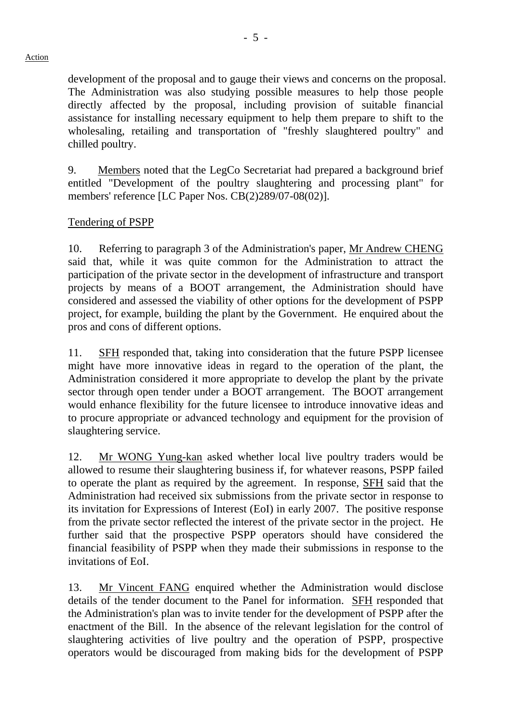#### Action

development of the proposal and to gauge their views and concerns on the proposal. The Administration was also studying possible measures to help those people directly affected by the proposal, including provision of suitable financial assistance for installing necessary equipment to help them prepare to shift to the wholesaling, retailing and transportation of "freshly slaughtered poultry" and chilled poultry.

9. Members noted that the LegCo Secretariat had prepared a background brief entitled "Development of the poultry slaughtering and processing plant" for members' reference [LC Paper Nos. CB(2)289/07-08(02)].

#### Tendering of PSPP

10. Referring to paragraph 3 of the Administration's paper, Mr Andrew CHENG said that, while it was quite common for the Administration to attract the participation of the private sector in the development of infrastructure and transport projects by means of a BOOT arrangement, the Administration should have considered and assessed the viability of other options for the development of PSPP project, for example, building the plant by the Government. He enquired about the pros and cons of different options.

11. SFH responded that, taking into consideration that the future PSPP licensee might have more innovative ideas in regard to the operation of the plant, the Administration considered it more appropriate to develop the plant by the private sector through open tender under a BOOT arrangement. The BOOT arrangement would enhance flexibility for the future licensee to introduce innovative ideas and to procure appropriate or advanced technology and equipment for the provision of slaughtering service.

12. Mr WONG Yung-kan asked whether local live poultry traders would be allowed to resume their slaughtering business if, for whatever reasons, PSPP failed to operate the plant as required by the agreement. In response, SFH said that the Administration had received six submissions from the private sector in response to its invitation for Expressions of Interest (EoI) in early 2007. The positive response from the private sector reflected the interest of the private sector in the project. He further said that the prospective PSPP operators should have considered the financial feasibility of PSPP when they made their submissions in response to the invitations of EoI.

13. Mr Vincent FANG enquired whether the Administration would disclose details of the tender document to the Panel for information. SFH responded that the Administration's plan was to invite tender for the development of PSPP after the enactment of the Bill. In the absence of the relevant legislation for the control of slaughtering activities of live poultry and the operation of PSPP, prospective operators would be discouraged from making bids for the development of PSPP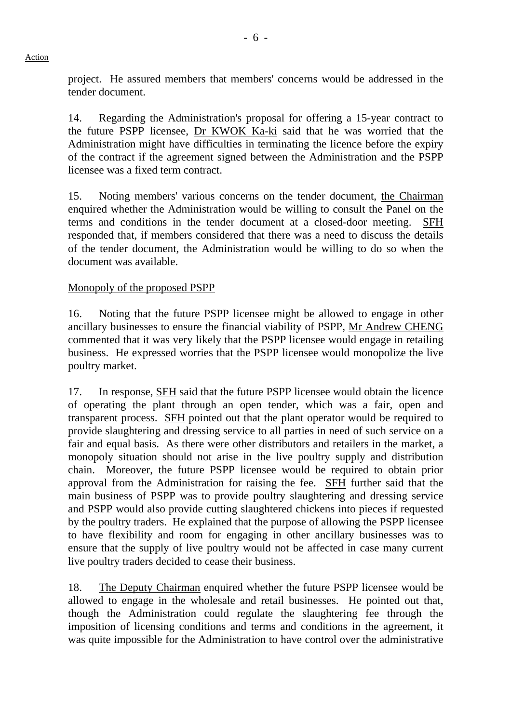project. He assured members that members' concerns would be addressed in the tender document.

14. Regarding the Administration's proposal for offering a 15-year contract to the future PSPP licensee, Dr KWOK Ka-ki said that he was worried that the Administration might have difficulties in terminating the licence before the expiry of the contract if the agreement signed between the Administration and the PSPP licensee was a fixed term contract.

15. Noting members' various concerns on the tender document, the Chairman enquired whether the Administration would be willing to consult the Panel on the terms and conditions in the tender document at a closed-door meeting. SFH responded that, if members considered that there was a need to discuss the details of the tender document, the Administration would be willing to do so when the document was available.

## Monopoly of the proposed PSPP

16. Noting that the future PSPP licensee might be allowed to engage in other ancillary businesses to ensure the financial viability of PSPP, Mr Andrew CHENG commented that it was very likely that the PSPP licensee would engage in retailing business. He expressed worries that the PSPP licensee would monopolize the live poultry market.

17. In response, SFH said that the future PSPP licensee would obtain the licence of operating the plant through an open tender, which was a fair, open and transparent process. SFH pointed out that the plant operator would be required to provide slaughtering and dressing service to all parties in need of such service on a fair and equal basis. As there were other distributors and retailers in the market, a monopoly situation should not arise in the live poultry supply and distribution chain. Moreover, the future PSPP licensee would be required to obtain prior approval from the Administration for raising the fee. SFH further said that the main business of PSPP was to provide poultry slaughtering and dressing service and PSPP would also provide cutting slaughtered chickens into pieces if requested by the poultry traders. He explained that the purpose of allowing the PSPP licensee to have flexibility and room for engaging in other ancillary businesses was to ensure that the supply of live poultry would not be affected in case many current live poultry traders decided to cease their business.

18. The Deputy Chairman enquired whether the future PSPP licensee would be allowed to engage in the wholesale and retail businesses. He pointed out that, though the Administration could regulate the slaughtering fee through the imposition of licensing conditions and terms and conditions in the agreement, it was quite impossible for the Administration to have control over the administrative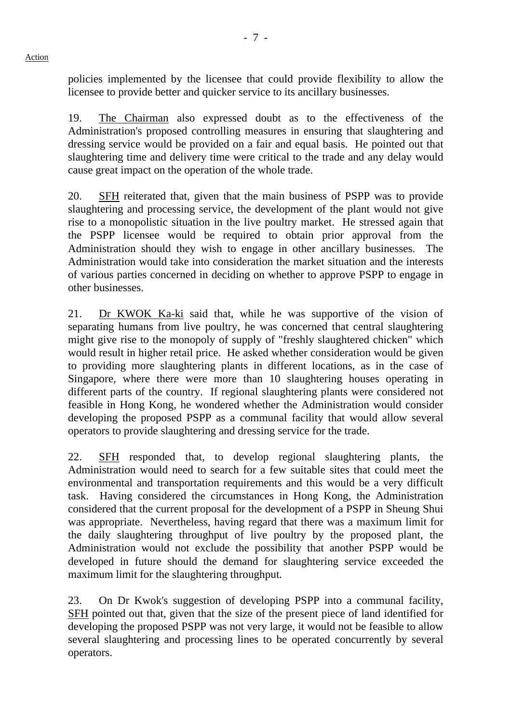Action

policies implemented by the licensee that could provide flexibility to allow the licensee to provide better and quicker service to its ancillary businesses.

19. The Chairman also expressed doubt as to the effectiveness of the Administration's proposed controlling measures in ensuring that slaughtering and dressing service would be provided on a fair and equal basis. He pointed out that slaughtering time and delivery time were critical to the trade and any delay would cause great impact on the operation of the whole trade.

20. SFH reiterated that, given that the main business of PSPP was to provide slaughtering and processing service, the development of the plant would not give rise to a monopolistic situation in the live poultry market. He stressed again that the PSPP licensee would be required to obtain prior approval from the Administration should they wish to engage in other ancillary businesses. The Administration would take into consideration the market situation and the interests of various parties concerned in deciding on whether to approve PSPP to engage in other businesses.

21. Dr KWOK Ka-ki said that, while he was supportive of the vision of separating humans from live poultry, he was concerned that central slaughtering might give rise to the monopoly of supply of "freshly slaughtered chicken" which would result in higher retail price. He asked whether consideration would be given to providing more slaughtering plants in different locations, as in the case of Singapore, where there were more than 10 slaughtering houses operating in different parts of the country. If regional slaughtering plants were considered not feasible in Hong Kong, he wondered whether the Administration would consider developing the proposed PSPP as a communal facility that would allow several operators to provide slaughtering and dressing service for the trade.

22. SFH responded that, to develop regional slaughtering plants, the Administration would need to search for a few suitable sites that could meet the environmental and transportation requirements and this would be a very difficult task. Having considered the circumstances in Hong Kong, the Administration considered that the current proposal for the development of a PSPP in Sheung Shui was appropriate. Nevertheless, having regard that there was a maximum limit for the daily slaughtering throughput of live poultry by the proposed plant, the Administration would not exclude the possibility that another PSPP would be developed in future should the demand for slaughtering service exceeded the maximum limit for the slaughtering throughput.

23. On Dr Kwok's suggestion of developing PSPP into a communal facility, SFH pointed out that, given that the size of the present piece of land identified for developing the proposed PSPP was not very large, it would not be feasible to allow several slaughtering and processing lines to be operated concurrently by several operators.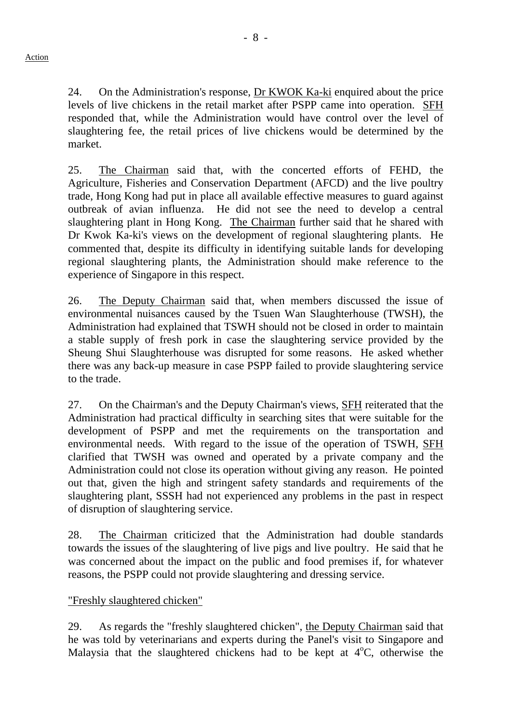- 8 -

24. On the Administration's response, Dr KWOK Ka-ki enquired about the price levels of live chickens in the retail market after PSPP came into operation. SFH responded that, while the Administration would have control over the level of slaughtering fee, the retail prices of live chickens would be determined by the market.

25. The Chairman said that, with the concerted efforts of FEHD, the Agriculture, Fisheries and Conservation Department (AFCD) and the live poultry trade, Hong Kong had put in place all available effective measures to guard against outbreak of avian influenza. He did not see the need to develop a central slaughtering plant in Hong Kong. The Chairman further said that he shared with Dr Kwok Ka-ki's views on the development of regional slaughtering plants. He commented that, despite its difficulty in identifying suitable lands for developing regional slaughtering plants, the Administration should make reference to the experience of Singapore in this respect.

26. The Deputy Chairman said that, when members discussed the issue of environmental nuisances caused by the Tsuen Wan Slaughterhouse (TWSH), the Administration had explained that TSWH should not be closed in order to maintain a stable supply of fresh pork in case the slaughtering service provided by the Sheung Shui Slaughterhouse was disrupted for some reasons. He asked whether there was any back-up measure in case PSPP failed to provide slaughtering service to the trade.

27. On the Chairman's and the Deputy Chairman's views, SFH reiterated that the Administration had practical difficulty in searching sites that were suitable for the development of PSPP and met the requirements on the transportation and environmental needs. With regard to the issue of the operation of TSWH, SFH clarified that TWSH was owned and operated by a private company and the Administration could not close its operation without giving any reason. He pointed out that, given the high and stringent safety standards and requirements of the slaughtering plant, SSSH had not experienced any problems in the past in respect of disruption of slaughtering service.

28. The Chairman criticized that the Administration had double standards towards the issues of the slaughtering of live pigs and live poultry. He said that he was concerned about the impact on the public and food premises if, for whatever reasons, the PSPP could not provide slaughtering and dressing service.

# "Freshly slaughtered chicken"

29. As regards the "freshly slaughtered chicken", the Deputy Chairman said that he was told by veterinarians and experts during the Panel's visit to Singapore and Malaysia that the slaughtered chickens had to be kept at  $4^{\circ}C$ , otherwise the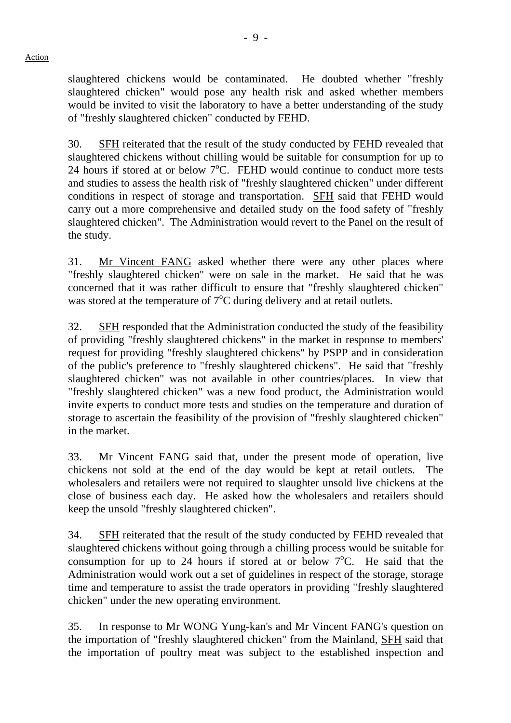slaughtered chickens would be contaminated. He doubted whether "freshly slaughtered chicken" would pose any health risk and asked whether members would be invited to visit the laboratory to have a better understanding of the study of "freshly slaughtered chicken" conducted by FEHD.

30. SFH reiterated that the result of the study conducted by FEHD revealed that slaughtered chickens without chilling would be suitable for consumption for up to 24 hours if stored at or below  $7^{\circ}$ C. FEHD would continue to conduct more tests and studies to assess the health risk of "freshly slaughtered chicken" under different conditions in respect of storage and transportation. **SFH** said that FEHD would carry out a more comprehensive and detailed study on the food safety of "freshly slaughtered chicken". The Administration would revert to the Panel on the result of the study.

31. Mr Vincent FANG asked whether there were any other places where "freshly slaughtered chicken" were on sale in the market. He said that he was concerned that it was rather difficult to ensure that "freshly slaughtered chicken" was stored at the temperature of  $7^{\circ}$ C during delivery and at retail outlets.

32. SFH responded that the Administration conducted the study of the feasibility of providing "freshly slaughtered chickens" in the market in response to members' request for providing "freshly slaughtered chickens" by PSPP and in consideration of the public's preference to "freshly slaughtered chickens". He said that "freshly slaughtered chicken" was not available in other countries/places. In view that "freshly slaughtered chicken" was a new food product, the Administration would invite experts to conduct more tests and studies on the temperature and duration of storage to ascertain the feasibility of the provision of "freshly slaughtered chicken" in the market.

33. Mr Vincent FANG said that, under the present mode of operation, live chickens not sold at the end of the day would be kept at retail outlets. The wholesalers and retailers were not required to slaughter unsold live chickens at the close of business each day. He asked how the wholesalers and retailers should keep the unsold "freshly slaughtered chicken".

34. SFH reiterated that the result of the study conducted by FEHD revealed that slaughtered chickens without going through a chilling process would be suitable for consumption for up to 24 hours if stored at or below  $7^{\circ}$ C. He said that the Administration would work out a set of guidelines in respect of the storage, storage time and temperature to assist the trade operators in providing "freshly slaughtered chicken" under the new operating environment.

35. In response to Mr WONG Yung-kan's and Mr Vincent FANG's question on the importation of "freshly slaughtered chicken" from the Mainland, SFH said that the importation of poultry meat was subject to the established inspection and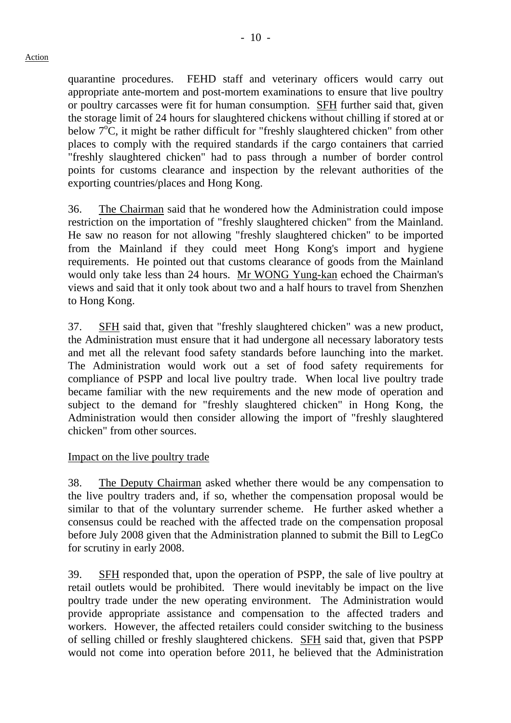quarantine procedures. FEHD staff and veterinary officers would carry out appropriate ante-mortem and post-mortem examinations to ensure that live poultry or poultry carcasses were fit for human consumption. **SFH** further said that, given the storage limit of 24 hours for slaughtered chickens without chilling if stored at or below  $7^{\circ}$ C, it might be rather difficult for "freshly slaughtered chicken" from other places to comply with the required standards if the cargo containers that carried "freshly slaughtered chicken" had to pass through a number of border control points for customs clearance and inspection by the relevant authorities of the exporting countries/places and Hong Kong.

36. The Chairman said that he wondered how the Administration could impose restriction on the importation of "freshly slaughtered chicken" from the Mainland. He saw no reason for not allowing "freshly slaughtered chicken" to be imported from the Mainland if they could meet Hong Kong's import and hygiene requirements. He pointed out that customs clearance of goods from the Mainland would only take less than 24 hours. Mr WONG Yung-kan echoed the Chairman's views and said that it only took about two and a half hours to travel from Shenzhen to Hong Kong.

37. SFH said that, given that "freshly slaughtered chicken" was a new product, the Administration must ensure that it had undergone all necessary laboratory tests and met all the relevant food safety standards before launching into the market. The Administration would work out a set of food safety requirements for compliance of PSPP and local live poultry trade. When local live poultry trade became familiar with the new requirements and the new mode of operation and subject to the demand for "freshly slaughtered chicken" in Hong Kong, the Administration would then consider allowing the import of "freshly slaughtered chicken" from other sources.

## Impact on the live poultry trade

38. The Deputy Chairman asked whether there would be any compensation to the live poultry traders and, if so, whether the compensation proposal would be similar to that of the voluntary surrender scheme. He further asked whether a consensus could be reached with the affected trade on the compensation proposal before July 2008 given that the Administration planned to submit the Bill to LegCo for scrutiny in early 2008.

39. SFH responded that, upon the operation of PSPP, the sale of live poultry at retail outlets would be prohibited. There would inevitably be impact on the live poultry trade under the new operating environment. The Administration would provide appropriate assistance and compensation to the affected traders and workers. However, the affected retailers could consider switching to the business of selling chilled or freshly slaughtered chickens. SFH said that, given that PSPP would not come into operation before 2011, he believed that the Administration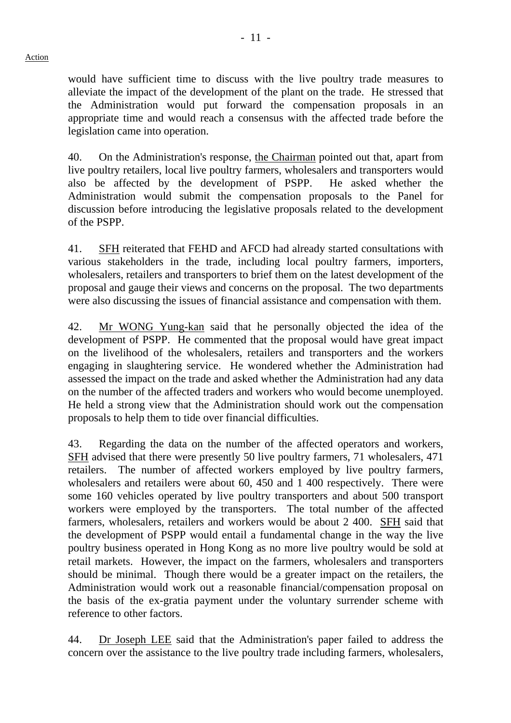would have sufficient time to discuss with the live poultry trade measures to alleviate the impact of the development of the plant on the trade. He stressed that the Administration would put forward the compensation proposals in an appropriate time and would reach a consensus with the affected trade before the legislation came into operation.

40. On the Administration's response, the Chairman pointed out that, apart from live poultry retailers, local live poultry farmers, wholesalers and transporters would also be affected by the development of PSPP. He asked whether the Administration would submit the compensation proposals to the Panel for discussion before introducing the legislative proposals related to the development of the PSPP.

41. SFH reiterated that FEHD and AFCD had already started consultations with various stakeholders in the trade, including local poultry farmers, importers, wholesalers, retailers and transporters to brief them on the latest development of the proposal and gauge their views and concerns on the proposal. The two departments were also discussing the issues of financial assistance and compensation with them.

42. Mr WONG Yung-kan said that he personally objected the idea of the development of PSPP. He commented that the proposal would have great impact on the livelihood of the wholesalers, retailers and transporters and the workers engaging in slaughtering service. He wondered whether the Administration had assessed the impact on the trade and asked whether the Administration had any data on the number of the affected traders and workers who would become unemployed. He held a strong view that the Administration should work out the compensation proposals to help them to tide over financial difficulties.

43. Regarding the data on the number of the affected operators and workers, SFH advised that there were presently 50 live poultry farmers, 71 wholesalers, 471 retailers. The number of affected workers employed by live poultry farmers, wholesalers and retailers were about 60, 450 and 1 400 respectively. There were some 160 vehicles operated by live poultry transporters and about 500 transport workers were employed by the transporters. The total number of the affected farmers, wholesalers, retailers and workers would be about 2 400. SFH said that the development of PSPP would entail a fundamental change in the way the live poultry business operated in Hong Kong as no more live poultry would be sold at retail markets. However, the impact on the farmers, wholesalers and transporters should be minimal. Though there would be a greater impact on the retailers, the Administration would work out a reasonable financial/compensation proposal on the basis of the ex-gratia payment under the voluntary surrender scheme with reference to other factors.

44. Dr Joseph LEE said that the Administration's paper failed to address the concern over the assistance to the live poultry trade including farmers, wholesalers,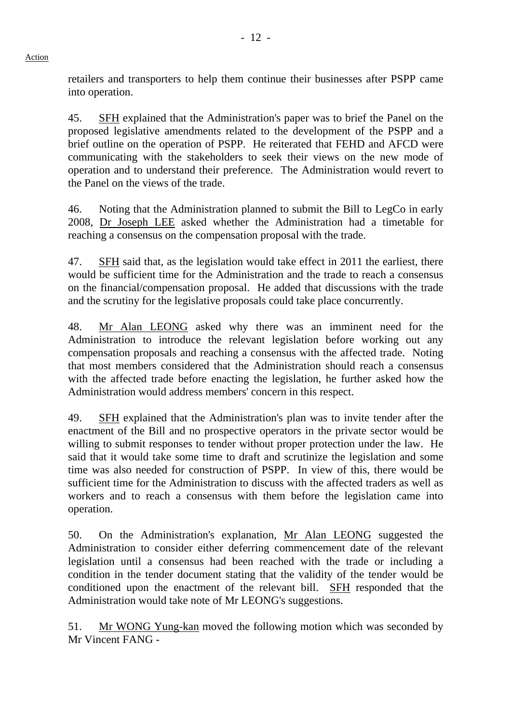retailers and transporters to help them continue their businesses after PSPP came into operation.

45. SFH explained that the Administration's paper was to brief the Panel on the proposed legislative amendments related to the development of the PSPP and a brief outline on the operation of PSPP. He reiterated that FEHD and AFCD were communicating with the stakeholders to seek their views on the new mode of operation and to understand their preference. The Administration would revert to the Panel on the views of the trade.

46. Noting that the Administration planned to submit the Bill to LegCo in early 2008, Dr Joseph LEE asked whether the Administration had a timetable for reaching a consensus on the compensation proposal with the trade.

47. SFH said that, as the legislation would take effect in 2011 the earliest, there would be sufficient time for the Administration and the trade to reach a consensus on the financial/compensation proposal. He added that discussions with the trade and the scrutiny for the legislative proposals could take place concurrently.

48. Mr Alan LEONG asked why there was an imminent need for the Administration to introduce the relevant legislation before working out any compensation proposals and reaching a consensus with the affected trade. Noting that most members considered that the Administration should reach a consensus with the affected trade before enacting the legislation, he further asked how the Administration would address members' concern in this respect.

49. SFH explained that the Administration's plan was to invite tender after the enactment of the Bill and no prospective operators in the private sector would be willing to submit responses to tender without proper protection under the law. He said that it would take some time to draft and scrutinize the legislation and some time was also needed for construction of PSPP. In view of this, there would be sufficient time for the Administration to discuss with the affected traders as well as workers and to reach a consensus with them before the legislation came into operation.

50. On the Administration's explanation, Mr Alan LEONG suggested the Administration to consider either deferring commencement date of the relevant legislation until a consensus had been reached with the trade or including a condition in the tender document stating that the validity of the tender would be conditioned upon the enactment of the relevant bill. SFH responded that the Administration would take note of Mr LEONG's suggestions.

51. Mr WONG Yung-kan moved the following motion which was seconded by Mr Vincent FANG -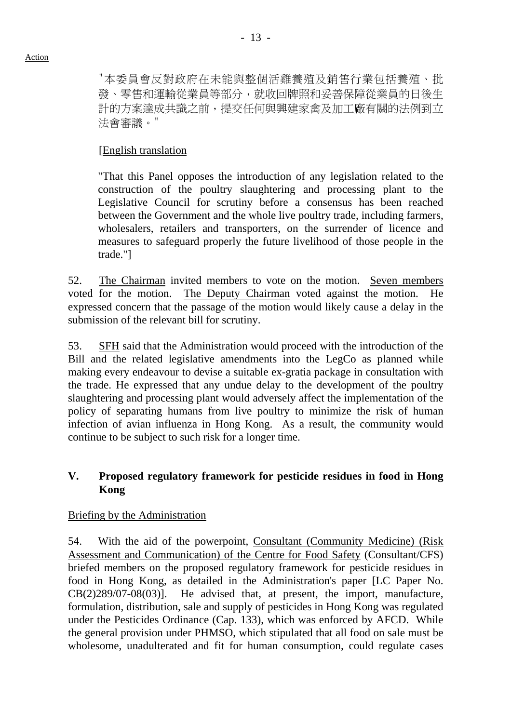"本委員會反對政府在未能與整個活雞養殖及銷售行業包括養殖、批 發、零售和運輸從業員等部分,就收回牌照和妥善保障從業員的日後生 計的方案達成共識之前,提交任何與興建家禽及加工廠有關的法例到立 法會審議。"

# [English translation

 "That this Panel opposes the introduction of any legislation related to the construction of the poultry slaughtering and processing plant to the Legislative Council for scrutiny before a consensus has been reached between the Government and the whole live poultry trade, including farmers, wholesalers, retailers and transporters, on the surrender of licence and measures to safeguard properly the future livelihood of those people in the trade."]

52. The Chairman invited members to vote on the motion. Seven members voted for the motion. The Deputy Chairman voted against the motion. He expressed concern that the passage of the motion would likely cause a delay in the submission of the relevant bill for scrutiny.

53. SFH said that the Administration would proceed with the introduction of the Bill and the related legislative amendments into the LegCo as planned while making every endeavour to devise a suitable ex-gratia package in consultation with the trade. He expressed that any undue delay to the development of the poultry slaughtering and processing plant would adversely affect the implementation of the policy of separating humans from live poultry to minimize the risk of human infection of avian influenza in Hong Kong. As a result, the community would continue to be subject to such risk for a longer time.

## **V. Proposed regulatory framework for pesticide residues in food in Hong Kong**

## Briefing by the Administration

54. With the aid of the powerpoint, Consultant (Community Medicine) (Risk Assessment and Communication) of the Centre for Food Safety (Consultant/CFS) briefed members on the proposed regulatory framework for pesticide residues in food in Hong Kong, as detailed in the Administration's paper [LC Paper No. CB(2)289/07-08(03)]. He advised that, at present, the import, manufacture, formulation, distribution, sale and supply of pesticides in Hong Kong was regulated under the Pesticides Ordinance (Cap. 133), which was enforced by AFCD. While the general provision under PHMSO, which stipulated that all food on sale must be wholesome, unadulterated and fit for human consumption, could regulate cases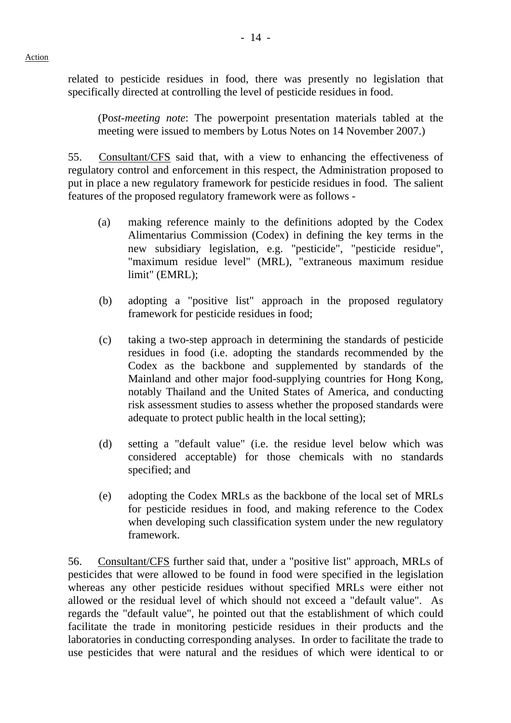related to pesticide residues in food, there was presently no legislation that specifically directed at controlling the level of pesticide residues in food.

(Po*st-meeting note*: The powerpoint presentation materials tabled at the meeting were issued to members by Lotus Notes on 14 November 2007.)

55. Consultant/CFS said that, with a view to enhancing the effectiveness of regulatory control and enforcement in this respect, the Administration proposed to put in place a new regulatory framework for pesticide residues in food. The salient features of the proposed regulatory framework were as follows -

- (a) making reference mainly to the definitions adopted by the Codex Alimentarius Commission (Codex) in defining the key terms in the new subsidiary legislation, e.g. "pesticide", "pesticide residue", "maximum residue level" (MRL), "extraneous maximum residue limit" (EMRL);
- (b) adopting a "positive list" approach in the proposed regulatory framework for pesticide residues in food;
- (c) taking a two-step approach in determining the standards of pesticide residues in food (i.e. adopting the standards recommended by the Codex as the backbone and supplemented by standards of the Mainland and other major food-supplying countries for Hong Kong, notably Thailand and the United States of America, and conducting risk assessment studies to assess whether the proposed standards were adequate to protect public health in the local setting);
- (d) setting a "default value" (i.e. the residue level below which was considered acceptable) for those chemicals with no standards specified; and
- (e) adopting the Codex MRLs as the backbone of the local set of MRLs for pesticide residues in food, and making reference to the Codex when developing such classification system under the new regulatory framework.

56. Consultant/CFS further said that, under a "positive list" approach, MRLs of pesticides that were allowed to be found in food were specified in the legislation whereas any other pesticide residues without specified MRLs were either not allowed or the residual level of which should not exceed a "default value". As regards the "default value", he pointed out that the establishment of which could facilitate the trade in monitoring pesticide residues in their products and the laboratories in conducting corresponding analyses. In order to facilitate the trade to use pesticides that were natural and the residues of which were identical to or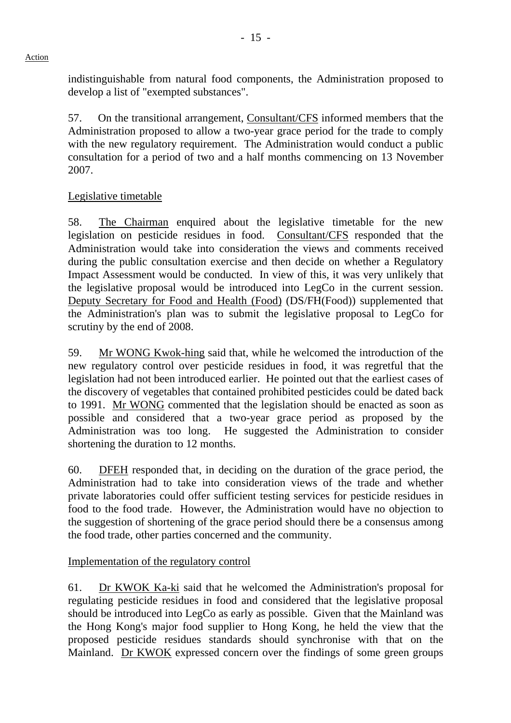# indistinguishable from natural food components, the Administration proposed to develop a list of "exempted substances".

57. On the transitional arrangement, Consultant/CFS informed members that the Administration proposed to allow a two-year grace period for the trade to comply with the new regulatory requirement. The Administration would conduct a public consultation for a period of two and a half months commencing on 13 November 2007.

# Legislative timetable

58. The Chairman enquired about the legislative timetable for the new legislation on pesticide residues in food. Consultant/CFS responded that the Administration would take into consideration the views and comments received during the public consultation exercise and then decide on whether a Regulatory Impact Assessment would be conducted. In view of this, it was very unlikely that the legislative proposal would be introduced into LegCo in the current session. Deputy Secretary for Food and Health (Food) (DS/FH(Food)) supplemented that the Administration's plan was to submit the legislative proposal to LegCo for scrutiny by the end of 2008.

59. Mr WONG Kwok-hing said that, while he welcomed the introduction of the new regulatory control over pesticide residues in food, it was regretful that the legislation had not been introduced earlier. He pointed out that the earliest cases of the discovery of vegetables that contained prohibited pesticides could be dated back to 1991. Mr WONG commented that the legislation should be enacted as soon as possible and considered that a two-year grace period as proposed by the Administration was too long. He suggested the Administration to consider shortening the duration to 12 months.

60. DFEH responded that, in deciding on the duration of the grace period, the Administration had to take into consideration views of the trade and whether private laboratories could offer sufficient testing services for pesticide residues in food to the food trade. However, the Administration would have no objection to the suggestion of shortening of the grace period should there be a consensus among the food trade, other parties concerned and the community.

# Implementation of the regulatory control

61. Dr KWOK Ka-ki said that he welcomed the Administration's proposal for regulating pesticide residues in food and considered that the legislative proposal should be introduced into LegCo as early as possible. Given that the Mainland was the Hong Kong's major food supplier to Hong Kong, he held the view that the proposed pesticide residues standards should synchronise with that on the Mainland. Dr KWOK expressed concern over the findings of some green groups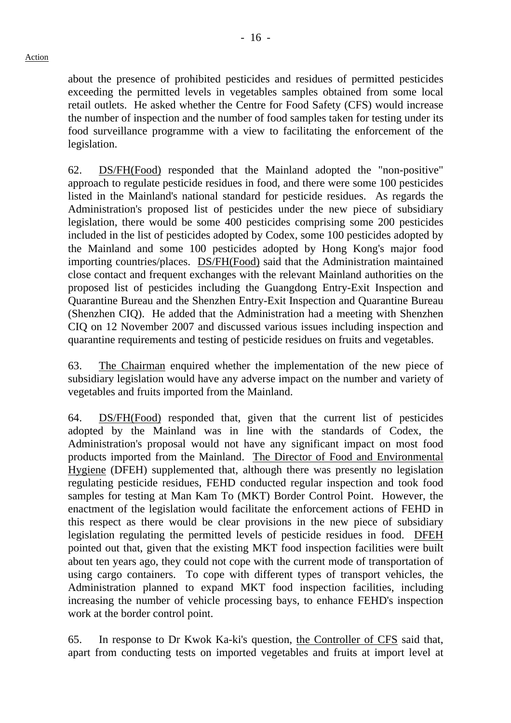about the presence of prohibited pesticides and residues of permitted pesticides exceeding the permitted levels in vegetables samples obtained from some local retail outlets. He asked whether the Centre for Food Safety (CFS) would increase the number of inspection and the number of food samples taken for testing under its food surveillance programme with a view to facilitating the enforcement of the legislation.

62. DS/FH(Food) responded that the Mainland adopted the "non-positive" approach to regulate pesticide residues in food, and there were some 100 pesticides listed in the Mainland's national standard for pesticide residues. As regards the Administration's proposed list of pesticides under the new piece of subsidiary legislation, there would be some 400 pesticides comprising some 200 pesticides included in the list of pesticides adopted by Codex, some 100 pesticides adopted by the Mainland and some 100 pesticides adopted by Hong Kong's major food importing countries/places. DS/FH(Food) said that the Administration maintained close contact and frequent exchanges with the relevant Mainland authorities on the proposed list of pesticides including the Guangdong Entry-Exit Inspection and Quarantine Bureau and the Shenzhen Entry-Exit Inspection and Quarantine Bureau (Shenzhen CIQ). He added that the Administration had a meeting with Shenzhen CIQ on 12 November 2007 and discussed various issues including inspection and quarantine requirements and testing of pesticide residues on fruits and vegetables.

63. The Chairman enquired whether the implementation of the new piece of subsidiary legislation would have any adverse impact on the number and variety of vegetables and fruits imported from the Mainland.

64. DS/FH(Food) responded that, given that the current list of pesticides adopted by the Mainland was in line with the standards of Codex, the Administration's proposal would not have any significant impact on most food products imported from the Mainland. The Director of Food and Environmental Hygiene (DFEH) supplemented that, although there was presently no legislation regulating pesticide residues, FEHD conducted regular inspection and took food samples for testing at Man Kam To (MKT) Border Control Point. However, the enactment of the legislation would facilitate the enforcement actions of FEHD in this respect as there would be clear provisions in the new piece of subsidiary legislation regulating the permitted levels of pesticide residues in food. DFEH pointed out that, given that the existing MKT food inspection facilities were built about ten years ago, they could not cope with the current mode of transportation of using cargo containers. To cope with different types of transport vehicles, the Administration planned to expand MKT food inspection facilities, including increasing the number of vehicle processing bays, to enhance FEHD's inspection work at the border control point.

65. In response to Dr Kwok Ka-ki's question, the Controller of CFS said that, apart from conducting tests on imported vegetables and fruits at import level at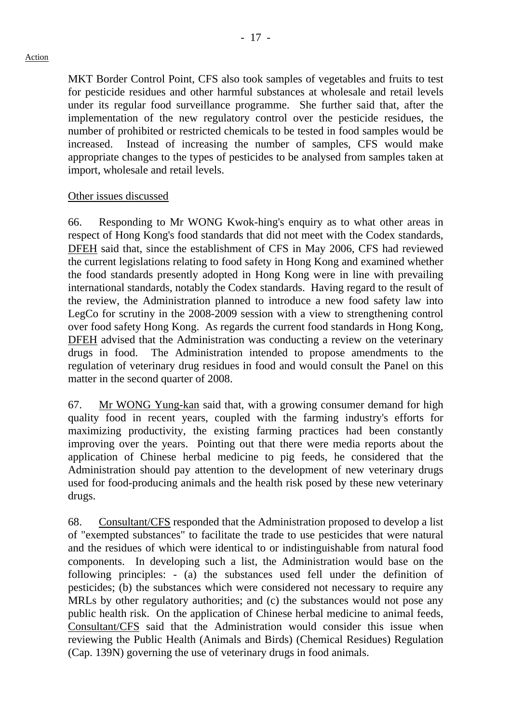#### Action

MKT Border Control Point, CFS also took samples of vegetables and fruits to test for pesticide residues and other harmful substances at wholesale and retail levels under its regular food surveillance programme. She further said that, after the implementation of the new regulatory control over the pesticide residues, the number of prohibited or restricted chemicals to be tested in food samples would be increased. Instead of increasing the number of samples, CFS would make appropriate changes to the types of pesticides to be analysed from samples taken at import, wholesale and retail levels.

## Other issues discussed

66. Responding to Mr WONG Kwok-hing's enquiry as to what other areas in respect of Hong Kong's food standards that did not meet with the Codex standards, DFEH said that, since the establishment of CFS in May 2006, CFS had reviewed the current legislations relating to food safety in Hong Kong and examined whether the food standards presently adopted in Hong Kong were in line with prevailing international standards, notably the Codex standards. Having regard to the result of the review, the Administration planned to introduce a new food safety law into LegCo for scrutiny in the 2008-2009 session with a view to strengthening control over food safety Hong Kong. As regards the current food standards in Hong Kong, DFEH advised that the Administration was conducting a review on the veterinary drugs in food. The Administration intended to propose amendments to the regulation of veterinary drug residues in food and would consult the Panel on this matter in the second quarter of 2008.

67. Mr WONG Yung-kan said that, with a growing consumer demand for high quality food in recent years, coupled with the farming industry's efforts for maximizing productivity, the existing farming practices had been constantly improving over the years. Pointing out that there were media reports about the application of Chinese herbal medicine to pig feeds, he considered that the Administration should pay attention to the development of new veterinary drugs used for food-producing animals and the health risk posed by these new veterinary drugs.

68. Consultant/CFS responded that the Administration proposed to develop a list of "exempted substances" to facilitate the trade to use pesticides that were natural and the residues of which were identical to or indistinguishable from natural food components. In developing such a list, the Administration would base on the following principles: - (a) the substances used fell under the definition of pesticides; (b) the substances which were considered not necessary to require any MRLs by other regulatory authorities; and (c) the substances would not pose any public health risk. On the application of Chinese herbal medicine to animal feeds, Consultant/CFS said that the Administration would consider this issue when reviewing the Public Health (Animals and Birds) (Chemical Residues) Regulation (Cap. 139N) governing the use of veterinary drugs in food animals.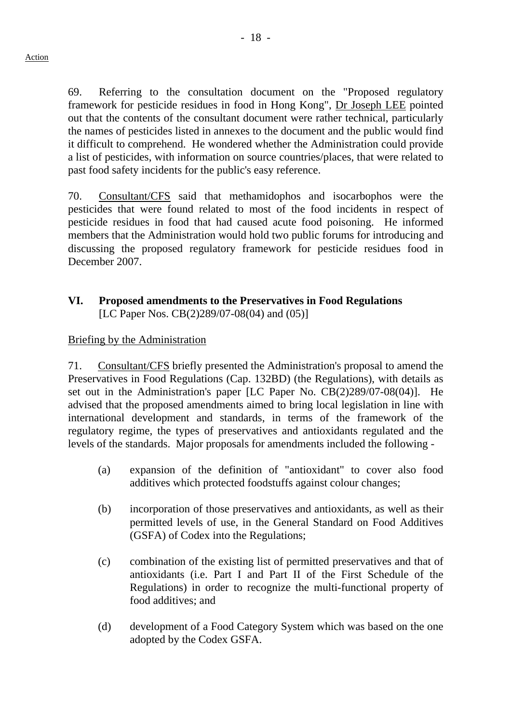69. Referring to the consultation document on the "Proposed regulatory framework for pesticide residues in food in Hong Kong", Dr Joseph LEE pointed out that the contents of the consultant document were rather technical, particularly the names of pesticides listed in annexes to the document and the public would find it difficult to comprehend. He wondered whether the Administration could provide a list of pesticides, with information on source countries/places, that were related to past food safety incidents for the public's easy reference.

70. Consultant/CFS said that methamidophos and isocarbophos were the pesticides that were found related to most of the food incidents in respect of pesticide residues in food that had caused acute food poisoning. He informed members that the Administration would hold two public forums for introducing and discussing the proposed regulatory framework for pesticide residues food in December 2007.

## **VI. Proposed amendments to the Preservatives in Food Regulations**  [LC Paper Nos. CB(2)289/07-08(04) and (05)]

## Briefing by the Administration

71. Consultant/CFS briefly presented the Administration's proposal to amend the Preservatives in Food Regulations (Cap. 132BD) (the Regulations), with details as set out in the Administration's paper [LC Paper No. CB(2)289/07-08(04)]. He advised that the proposed amendments aimed to bring local legislation in line with international development and standards, in terms of the framework of the regulatory regime, the types of preservatives and antioxidants regulated and the levels of the standards. Major proposals for amendments included the following -

- (a) expansion of the definition of "antioxidant" to cover also food additives which protected foodstuffs against colour changes;
- (b) incorporation of those preservatives and antioxidants, as well as their permitted levels of use, in the General Standard on Food Additives (GSFA) of Codex into the Regulations;
- (c) combination of the existing list of permitted preservatives and that of antioxidants (i.e. Part I and Part II of the First Schedule of the Regulations) in order to recognize the multi-functional property of food additives; and
- (d) development of a Food Category System which was based on the one adopted by the Codex GSFA.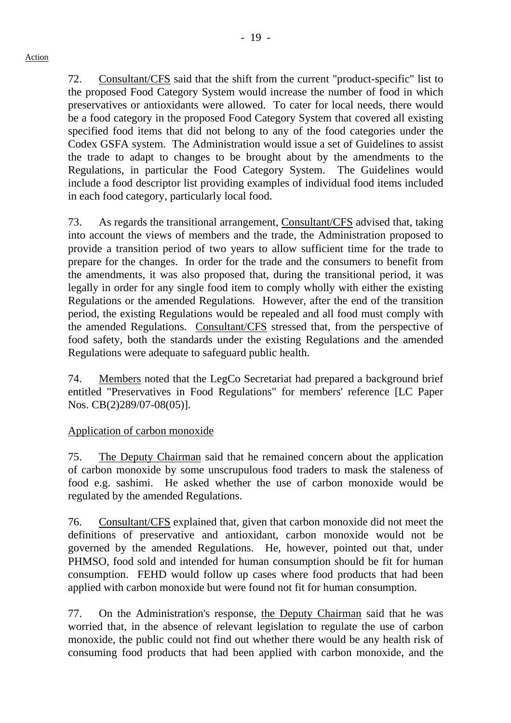72. Consultant/CFS said that the shift from the current "product-specific" list to the proposed Food Category System would increase the number of food in which preservatives or antioxidants were allowed. To cater for local needs, there would be a food category in the proposed Food Category System that covered all existing specified food items that did not belong to any of the food categories under the Codex GSFA system. The Administration would issue a set of Guidelines to assist the trade to adapt to changes to be brought about by the amendments to the Regulations, in particular the Food Category System. The Guidelines would include a food descriptor list providing examples of individual food items included in each food category, particularly local food.

73. As regards the transitional arrangement, Consultant/CFS advised that, taking into account the views of members and the trade, the Administration proposed to provide a transition period of two years to allow sufficient time for the trade to prepare for the changes. In order for the trade and the consumers to benefit from the amendments, it was also proposed that, during the transitional period, it was legally in order for any single food item to comply wholly with either the existing Regulations or the amended Regulations. However, after the end of the transition period, the existing Regulations would be repealed and all food must comply with the amended Regulations. Consultant/CFS stressed that, from the perspective of food safety, both the standards under the existing Regulations and the amended Regulations were adequate to safeguard public health.

74. Members noted that the LegCo Secretariat had prepared a background brief entitled "Preservatives in Food Regulations" for members' reference [LC Paper Nos. CB(2)289/07-08(05)].

# Application of carbon monoxide

75. The Deputy Chairman said that he remained concern about the application of carbon monoxide by some unscrupulous food traders to mask the staleness of food e.g. sashimi. He asked whether the use of carbon monoxide would be regulated by the amended Regulations.

76. Consultant/CFS explained that, given that carbon monoxide did not meet the definitions of preservative and antioxidant, carbon monoxide would not be governed by the amended Regulations. He, however, pointed out that, under PHMSO, food sold and intended for human consumption should be fit for human consumption. FEHD would follow up cases where food products that had been applied with carbon monoxide but were found not fit for human consumption.

77. On the Administration's response, the Deputy Chairman said that he was worried that, in the absence of relevant legislation to regulate the use of carbon monoxide, the public could not find out whether there would be any health risk of consuming food products that had been applied with carbon monoxide, and the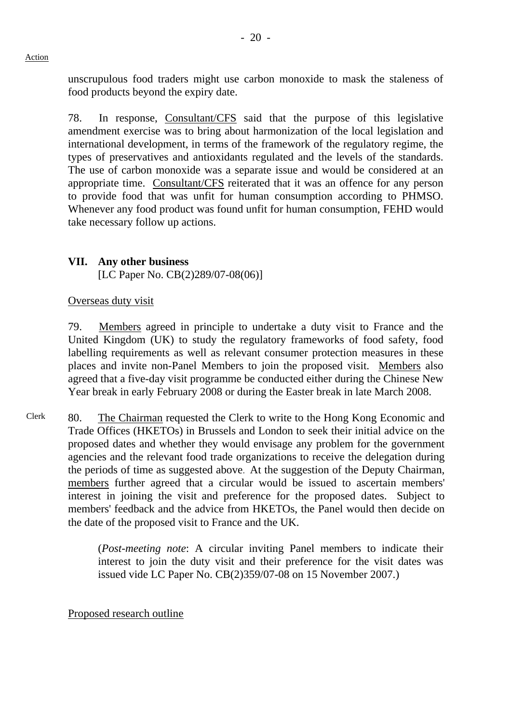unscrupulous food traders might use carbon monoxide to mask the staleness of food products beyond the expiry date.

78. In response, Consultant/CFS said that the purpose of this legislative amendment exercise was to bring about harmonization of the local legislation and international development, in terms of the framework of the regulatory regime, the types of preservatives and antioxidants regulated and the levels of the standards. The use of carbon monoxide was a separate issue and would be considered at an appropriate time. Consultant/CFS reiterated that it was an offence for any person to provide food that was unfit for human consumption according to PHMSO. Whenever any food product was found unfit for human consumption, FEHD would take necessary follow up actions.

## **VII. Any other business**

[LC Paper No. CB(2)289/07-08(06)]

## Overseas duty visit

79. Members agreed in principle to undertake a duty visit to France and the United Kingdom (UK) to study the regulatory frameworks of food safety, food labelling requirements as well as relevant consumer protection measures in these places and invite non-Panel Members to join the proposed visit. Members also agreed that a five-day visit programme be conducted either during the Chinese New Year break in early February 2008 or during the Easter break in late March 2008.

Clerk 80. The Chairman requested the Clerk to write to the Hong Kong Economic and Trade Offices (HKETOs) in Brussels and London to seek their initial advice on the proposed dates and whether they would envisage any problem for the government agencies and the relevant food trade organizations to receive the delegation during the periods of time as suggested above. At the suggestion of the Deputy Chairman, members further agreed that a circular would be issued to ascertain members' interest in joining the visit and preference for the proposed dates. Subject to members' feedback and the advice from HKETOs, the Panel would then decide on the date of the proposed visit to France and the UK.

> (*Post-meeting note*: A circular inviting Panel members to indicate their interest to join the duty visit and their preference for the visit dates was issued vide LC Paper No. CB(2)359/07-08 on 15 November 2007.)

#### Proposed research outline